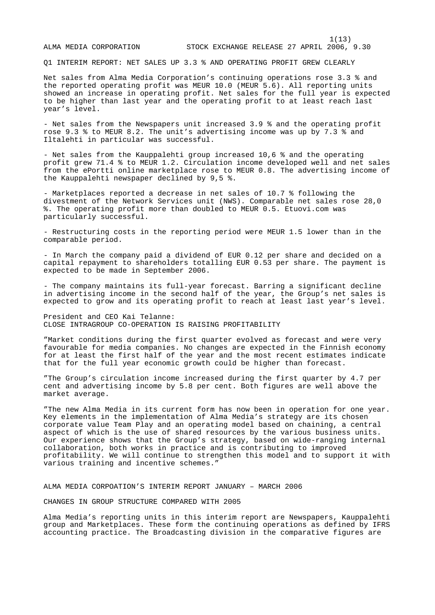Q1 INTERIM REPORT: NET SALES UP 3.3 % AND OPERATING PROFIT GREW CLEARLY

Net sales from Alma Media Corporation's continuing operations rose 3.3 % and the reported operating profit was MEUR 10.0 (MEUR 5.6). All reporting units showed an increase in operating profit. Net sales for the full year is expected to be higher than last year and the operating profit to at least reach last year's level.

- Net sales from the Newspapers unit increased 3.9 % and the operating profit rose 9.3 % to MEUR 8.2. The unit's advertising income was up by 7.3 % and Iltalehti in particular was successful.

- Net sales from the Kauppalehti group increased 10,6 % and the operating profit grew 71.4 % to MEUR 1.2. Circulation income developed well and net sales from the ePortti online marketplace rose to MEUR 0.8. The advertising income of the Kauppalehti newspaper declined by 9,5 %.

- Marketplaces reported a decrease in net sales of 10.7 % following the divestment of the Network Services unit (NWS). Comparable net sales rose 28,0 %. The operating profit more than doubled to MEUR 0.5. Etuovi.com was particularly successful.

- Restructuring costs in the reporting period were MEUR 1.5 lower than in the comparable period.

- In March the company paid a dividend of EUR 0.12 per share and decided on a capital repayment to shareholders totalling EUR 0.53 per share. The payment is expected to be made in September 2006.

- The company maintains its full-year forecast. Barring a significant decline in advertising income in the second half of the year, the Group's net sales is expected to grow and its operating profit to reach at least last year's level.

President and CEO Kai Telanne: CLOSE INTRAGROUP CO-OPERATION IS RAISING PROFITABILITY

"Market conditions during the first quarter evolved as forecast and were very favourable for media companies. No changes are expected in the Finnish economy for at least the first half of the year and the most recent estimates indicate that for the full year economic growth could be higher than forecast.

"The Group's circulation income increased during the first quarter by 4.7 per cent and advertising income by 5.8 per cent. Both figures are well above the market average.

"The new Alma Media in its current form has now been in operation for one year. Key elements in the implementation of Alma Media's strategy are its chosen corporate value Team Play and an operating model based on chaining, a central aspect of which is the use of shared resources by the various business units. Our experience shows that the Group's strategy, based on wide-ranging internal collaboration, both works in practice and is contributing to improved profitability. We will continue to strengthen this model and to support it with various training and incentive schemes."

ALMA MEDIA CORPOATION'S INTERIM REPORT JANUARY – MARCH 2006

CHANGES IN GROUP STRUCTURE COMPARED WITH 2005

Alma Media's reporting units in this interim report are Newspapers, Kauppalehti group and Marketplaces. These form the continuing operations as defined by IFRS accounting practice. The Broadcasting division in the comparative figures are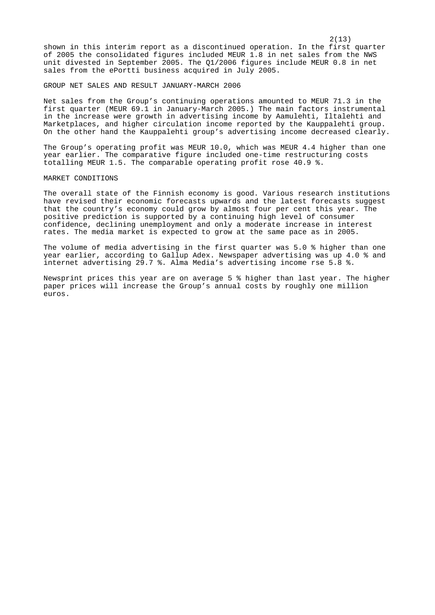$2(13)$ shown in this interim report as a discontinued operation. In the first quarter of 2005 the consolidated figures included MEUR 1.8 in net sales from the NWS unit divested in September 2005. The Q1/2006 figures include MEUR 0.8 in net sales from the ePortti business acquired in July 2005.

#### GROUP NET SALES AND RESULT JANUARY-MARCH 2006

Net sales from the Group's continuing operations amounted to MEUR 71.3 in the first quarter (MEUR 69.1 in January-March 2005.) The main factors instrumental in the increase were growth in advertising income by Aamulehti, Iltalehti and Marketplaces, and higher circulation income reported by the Kauppalehti group. On the other hand the Kauppalehti group's advertising income decreased clearly.

The Group's operating profit was MEUR 10.0, which was MEUR 4.4 higher than one year earlier. The comparative figure included one-time restructuring costs totalling MEUR 1.5. The comparable operating profit rose 40.9 %.

## MARKET CONDITIONS

The overall state of the Finnish economy is good. Various research institutions have revised their economic forecasts upwards and the latest forecasts suggest that the country's economy could grow by almost four per cent this year. The positive prediction is supported by a continuing high level of consumer confidence, declining unemployment and only a moderate increase in interest rates. The media market is expected to grow at the same pace as in 2005.

The volume of media advertising in the first quarter was 5.0 % higher than one year earlier, according to Gallup Adex. Newspaper advertising was up 4.0 % and internet advertising 29.7 %. Alma Media's advertising income rse 5.8 %.

Newsprint prices this year are on average 5 % higher than last year. The higher paper prices will increase the Group's annual costs by roughly one million euros.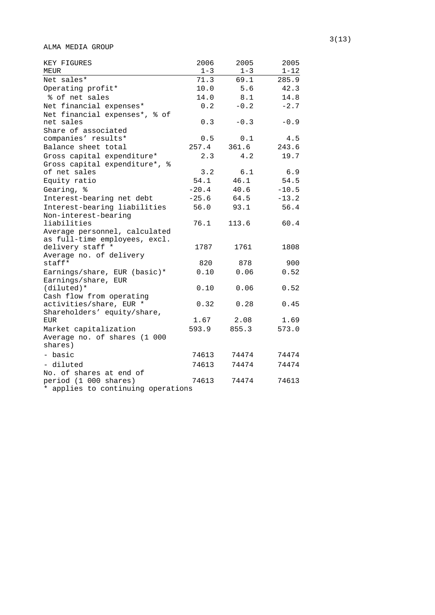ALMA MEDIA GROUP

| KEY FIGURES<br>MEUR                             | 2006<br>$1 - 3$ | 2005<br>$1 - 3$ | 2005<br>$1 - 12$ |
|-------------------------------------------------|-----------------|-----------------|------------------|
| Net sales*                                      | 71.3            | 69.1            | 285.9            |
| Operating profit*                               | 10.0            | 5.6             | 42.3             |
| % of net sales                                  | 14.0            | 8.1             | 14.8             |
| Net financial expenses*                         | 0.2             | $-0.2$          | $-2.7$           |
| Net financial expenses*, % of                   |                 |                 |                  |
| net sales                                       | 0.3             | $-0.3$          | $-0.9$           |
| Share of associated                             |                 |                 |                  |
| companies' results*                             | 0.5             | 0.1             | 4.5              |
| Balance sheet total                             | 257.4           | 361.6           | 243.6            |
| Gross capital expenditure*                      | 2.3             | 4.2             | 19.7             |
| Gross capital expenditure*,<br>್ಠಿ              |                 |                 |                  |
| of net sales                                    | 3.2             | 6.1             | 6.9              |
| Equity ratio                                    | 54.1            | 46.1            | 54.5             |
| Gearing, %                                      | $-20.4$         | 40.6            | $-10.5$          |
| Interest-bearing net debt                       | $-25.6$         | 64.5            | $-13.2$          |
| Interest-bearing liabilities                    | 56.0            | 93.1            | 56.4             |
| Non-interest-bearing                            |                 |                 |                  |
| liabilities                                     | 76.1            | 113.6           | 60.4             |
| Average personnel, calculated                   |                 |                 |                  |
| as full-time employees, excl.<br>delivery staff | 1787            | 1761            |                  |
| Average no. of delivery                         |                 |                 | 1808             |
| staff*                                          | 820             | 878             | 900              |
| Earnings/share, EUR (basic)*                    | 0.10            | 0.06            | 0.52             |
| Earnings/share,<br>EUR                          |                 |                 |                  |
| $(diluted)*$                                    | 0.10            | 0.06            | 0.52             |
| Cash flow from operating                        |                 |                 |                  |
| activities/share, EUR *                         | 0.32            | 0.28            | 0.45             |
| Shareholders' equity/share,                     |                 |                 |                  |
| <b>EUR</b>                                      | 1.67            | 2.08            | 1.69             |
| Market capitalization                           | 593.9           | 855.3           | 573.0            |
| Average no. of shares (1 000                    |                 |                 |                  |
| shares)                                         |                 |                 |                  |
| - basic                                         | 74613           | 74474           | 74474            |
| - diluted                                       | 74613           | 74474           | 74474            |
| No. of shares at end of                         |                 |                 |                  |
| period (1 000 shares)                           | 74613           | 74474           | 74613            |
| * applies to continuing operations              |                 |                 |                  |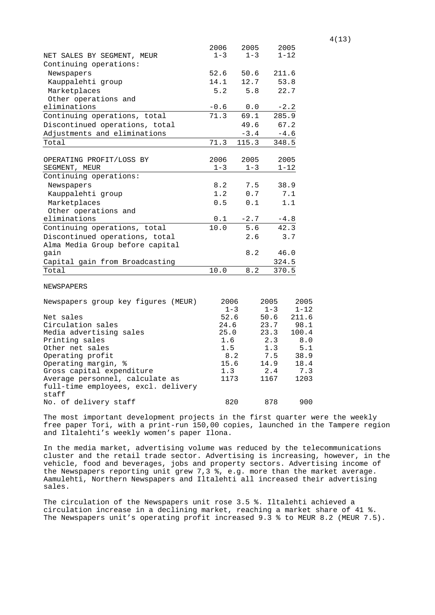|                                     | 2006            | 2005    | 2005            |                   |
|-------------------------------------|-----------------|---------|-----------------|-------------------|
| NET SALES BY SEGMENT, MEUR          | $1 - 3$         | $1 - 3$ | $1 - 12$        |                   |
| Continuing operations:              |                 |         |                 |                   |
| Newspapers                          | 52.6            | 50.6    | 211.6           |                   |
| Kauppalehti group                   | 14.1            | 12.7    | 53.8            |                   |
| Marketplaces                        | 5.2             | 5.8     | 22.7            |                   |
| Other operations and                |                 |         |                 |                   |
| eliminations                        | $-0.6$          | 0.0     | $-2.2$          |                   |
| Continuing operations, total        | 71.3            | 69.1    | 285.9           |                   |
| Discontinued operations, total      |                 | 49.6    | 67.2            |                   |
| Adjustments and eliminations        |                 | $-3.4$  | $-4.6$          |                   |
| Total                               | 71.3            | 115.3   | 348.5           |                   |
|                                     |                 |         |                 |                   |
| OPERATING PROFIT/LOSS BY            | 2006            | 2005    | 2005            |                   |
| SEGMENT, MEUR                       | $1 - 3$         | $1 - 3$ | $1 - 12$        |                   |
| Continuing operations:              |                 |         |                 |                   |
| Newspapers                          | 8.2             | 7.5     | 38.9            |                   |
| Kauppalehti group                   | 1.2             | 0.7     |                 | 7.1               |
| Marketplaces                        | 0.5             | 0.1     |                 | 1.1               |
| Other operations and                |                 |         |                 |                   |
| eliminations                        | 0.1             | $-2.7$  | $-4.8$          |                   |
| Continuing operations, total        | 10.0            | 5.6     | 42.3            |                   |
| Discontinued operations, total      |                 | 2.6     |                 | 3.7               |
| Alma Media Group before capital     |                 |         |                 |                   |
| qain                                |                 | 8.2     | 46.0            |                   |
| Capital gain from Broadcasting      |                 |         | 324.5           |                   |
| Total                               | 10.0            | 8.2     | 370.5           |                   |
|                                     |                 |         |                 |                   |
| NEWSPAPERS                          |                 |         |                 |                   |
|                                     |                 |         |                 |                   |
| Newspapers group key figures (MEUR) | 2006            |         | 2005            | 2005              |
| Net sales                           | $1 - 3$<br>52.6 |         | $1 - 3$<br>50.6 | $1 - 12$<br>211.6 |
| Circulation sales                   | 24.6            |         | 23.7            | 98.1              |
| Media advertising sales             | 25.0            |         | 23.3            | 100.4             |
| Printing sales                      | 1.6             |         | 2.3             | 8.0               |
| Other net sales                     | 1.5             |         | 1.3             | 5.1               |
| Operating profit                    | 8.2             |         | 7.5             | 38.9              |
| Operating margin, %                 | 15.6            |         | 14.9            | 18.4              |
| Gross capital expenditure           | 1.3             |         | 2.4             | 7.3               |
| Average personnel, calculate as     | 1173            |         | 1167            | 1203              |
| full-time employees, excl. delivery |                 |         |                 |                   |
| staff                               |                 |         |                 |                   |
| No. of delivery staff               | 820             |         | 878             | 900               |

The most important development projects in the first quarter were the weekly free paper Tori, with a print-run 150,00 copies, launched in the Tampere region and Iltalehti's weekly women's paper Ilona.

In the media market, advertising volume was reduced by the telecommunications cluster and the retail trade sector. Advertising is increasing, however, in the vehicle, food and beverages, jobs and property sectors. Advertising income of the Newspapers reporting unit grew 7,3 %, e.g. more than the market average. Aamulehti, Northern Newspapers and Iltalehti all increased their advertising sales.

The circulation of the Newspapers unit rose 3.5 %. Iltalehti achieved a circulation increase in a declining market, reaching a market share of 41 %. The Newspapers unit's operating profit increased 9.3 % to MEUR 8.2 (MEUR 7.5).

4(13)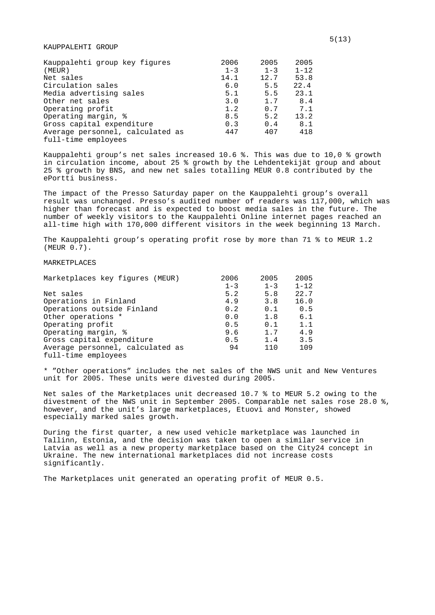# KAUPPALEHTI GROUP

| Kauppalehti group key figures    | 2006    | 2005    | 2005     |
|----------------------------------|---------|---------|----------|
| (MEUR)                           | $1 - 3$ | $1 - 3$ | $1 - 12$ |
| Net sales                        | 14.1    | 12.7    | 53.8     |
| Circulation sales                | 6.0     | 5.5     | 22.4     |
| Media advertising sales          | 5.1     | 5.5     | 23.1     |
| Other net sales                  | 3.0     | 1.7     | 8.4      |
| Operating profit                 | 1.2     | 0.7     | 7.1      |
| Operating margin, %              | 8.5     | 5.2     | 13.2     |
| Gross capital expenditure        | 0.3     | 0.4     | 8.1      |
| Average personnel, calculated as | 447     | 407     | 418      |
| full-time emplovees              |         |         |          |

Kauppalehti group's net sales increased 10.6 %. This was due to 10,0 % growth in circulation income, about 25 % growth by the Lehdentekijät group and about 25 % growth by BNS, and new net sales totalling MEUR 0.8 contributed by the ePortti business.

The impact of the Presso Saturday paper on the Kauppalehti group's overall result was unchanged. Presso's audited number of readers was 117,000, which was higher than forecast and is expected to boost media sales in the future. The number of weekly visitors to the Kauppalehti Online internet pages reached an all-time high with 170,000 different visitors in the week beginning 13 March.

The Kauppalehti group's operating profit rose by more than 71 % to MEUR 1.2 (MEUR 0.7).

# **MARKETPLACES**

| Marketplaces key figures (MEUR)  | 2006    | 2005    | 2005     |
|----------------------------------|---------|---------|----------|
|                                  | $1 - 3$ | $1 - 3$ | $1 - 12$ |
| Net sales                        | 5.2     | 5.8     | 22.7     |
| Operations in Finland            | 4.9     | 3.8     | 16.0     |
| Operations outside Finland       | 0.2     | 0.1     | 0.5      |
| Other operations *               | 0.0     | 1.8     | 6.1      |
| Operating profit                 | 0.5     | 0.1     | 1.1      |
| Operating margin, %              | 9.6     | 1.7     | 4.9      |
| Gross capital expenditure        | 0.5     | 1.4     | 3.5      |
| Average personnel, calculated as | 94      | 110     | 109      |
| full-time employees              |         |         |          |

\* "Other operations" includes the net sales of the NWS unit and New Ventures unit for 2005. These units were divested during 2005.

Net sales of the Marketplaces unit decreased 10.7 % to MEUR 5.2 owing to the divestment of the NWS unit in September 2005. Comparable net sales rose 28.0 %, however, and the unit's large marketplaces, Etuovi and Monster, showed especially marked sales growth.

During the first quarter, a new used vehicle marketplace was launched in Tallinn, Estonia, and the decision was taken to open a similar service in Latvia as well as a new property marketplace based on the City24 concept in Ukraine. The new international marketplaces did not increase costs significantly.

The Marketplaces unit generated an operating profit of MEUR 0.5.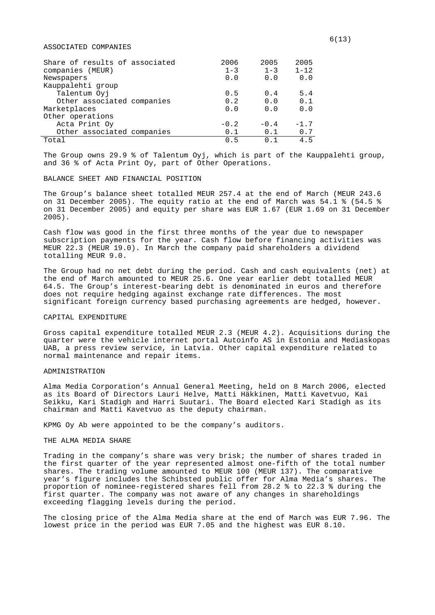## ASSOCIATED COMPANIES

| Share of results of associated | 2006    | 2005           | 2005     |
|--------------------------------|---------|----------------|----------|
| companies (MEUR)               | $1 - 3$ | $1 - 3$        | $1 - 12$ |
| Newspapers                     | 0.0     | 0.0            | 0.0      |
| Kauppalehti group              |         |                |          |
| Talentum Oyj                   | 0.5     | 0.4            | 5.4      |
| Other associated companies     | 0.2     | 0.0            | 0.1      |
| Marketplaces                   | 0.0     | 0.0            | 0.0      |
| Other operations               |         |                |          |
| Acta Print Oy                  | $-0.2$  | $-0.4$         | $-1.7$   |
| Other associated companies     | 0.1     | 0.1            | 0.7      |
| Total                          | በ 5     | 0 <sub>1</sub> | 4.5      |

The Group owns 29.9 % of Talentum Oyj, which is part of the Kauppalehti group, and 36 % of Acta Print Oy, part of Other Operations.

## BALANCE SHEET AND FINANCIAL POSITION

The Group's balance sheet totalled MEUR 257.4 at the end of March (MEUR 243.6 on 31 December 2005). The equity ratio at the end of March was 54.1 % (54.5 % on 31 December 2005) and equity per share was EUR 1.67 (EUR 1.69 on 31 December 2005).

Cash flow was good in the first three months of the year due to newspaper subscription payments for the year. Cash flow before financing activities was MEUR 22.3 (MEUR 19.0). In March the company paid shareholders a dividend totalling MEUR 9.0.

The Group had no net debt during the period. Cash and cash equivalents (net) at the end of March amounted to MEUR 25.6. One year earlier debt totalled MEUR 64.5. The Group's interest-bearing debt is denominated in euros and therefore does not require hedging against exchange rate differences. The most significant foreign currency based purchasing agreements are hedged, however.

## CAPITAL EXPENDITURE

Gross capital expenditure totalled MEUR 2.3 (MEUR 4.2). Acquisitions during the quarter were the vehicle internet portal Autoinfo AS in Estonia and Mediaskopas UAB, a press review service, in Latvia. Other capital expenditure related to normal maintenance and repair items.

# ADMINISTRATION

Alma Media Corporation's Annual General Meeting, held on 8 March 2006, elected as its Board of Directors Lauri Helve, Matti Häkkinen, Matti Kavetvuo, Kai Seikku, Kari Stadigh and Harri Suutari. The Board elected Kari Stadigh as its chairman and Matti Kavetvuo as the deputy chairman.

KPMG Oy Ab were appointed to be the company's auditors.

#### THE ALMA MEDIA SHARE

Trading in the company's share was very brisk; the number of shares traded in the first quarter of the year represented almost one-fifth of the total number shares. The trading volume amounted to MEUR 100 (MEUR 137). The comparative year's figure includes the Schibsted public offer for Alma Media's shares. The proportion of nominee-registered shares fell from 28.2 % to 22.3 % during the first quarter. The company was not aware of any changes in shareholdings exceeding flagging levels during the period.

The closing price of the Alma Media share at the end of March was EUR 7.96. The lowest price in the period was EUR 7.05 and the highest was EUR 8.10.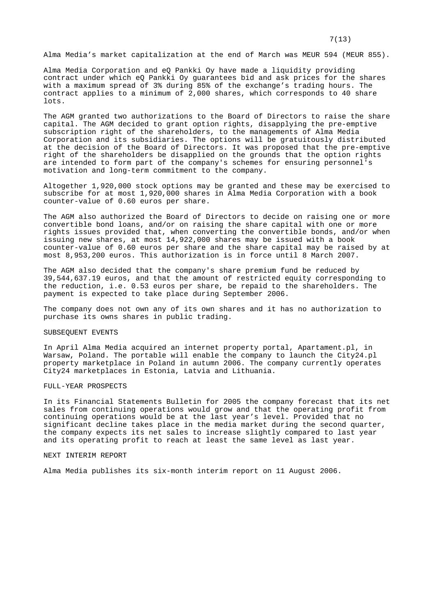Alma Media's market capitalization at the end of March was MEUR 594 (MEUR 855).

Alma Media Corporation and eQ Pankki Oy have made a liquidity providing contract under which eQ Pankki Oy guarantees bid and ask prices for the shares with a maximum spread of 3% during 85% of the exchange's trading hours. The contract applies to a minimum of 2,000 shares, which corresponds to 40 share lots.

The AGM granted two authorizations to the Board of Directors to raise the share capital. The AGM decided to grant option rights, disapplying the pre-emptive subscription right of the shareholders, to the managements of Alma Media Corporation and its subsidiaries. The options will be gratuitously distributed at the decision of the Board of Directors. It was proposed that the pre-emptive right of the shareholders be disapplied on the grounds that the option rights are intended to form part of the company's schemes for ensuring personnel's motivation and long-term commitment to the company.

Altogether 1,920,000 stock options may be granted and these may be exercised to subscribe for at most 1,920,000 shares in Alma Media Corporation with a book counter-value of 0.60 euros per share.

The AGM also authorized the Board of Directors to decide on raising one or more convertible bond loans, and/or on raising the share capital with one or more rights issues provided that, when converting the convertible bonds, and/or when issuing new shares, at most 14,922,000 shares may be issued with a book counter-value of 0.60 euros per share and the share capital may be raised by at most 8,953,200 euros. This authorization is in force until 8 March 2007.

The AGM also decided that the company's share premium fund be reduced by 39,544,637.19 euros, and that the amount of restricted equity corresponding to the reduction, i.e. 0.53 euros per share, be repaid to the shareholders. The payment is expected to take place during September 2006.

The company does not own any of its own shares and it has no authorization to purchase its owns shares in public trading.

# SUBSEQUENT EVENTS

In April Alma Media acquired an internet property portal, Apartament.pl, in Warsaw, Poland. The portable will enable the company to launch the City24.pl property marketplace in Poland in autumn 2006. The company currently operates City24 marketplaces in Estonia, Latvia and Lithuania.

# FULL-YEAR PROSPECTS

In its Financial Statements Bulletin for 2005 the company forecast that its net sales from continuing operations would grow and that the operating profit from continuing operations would be at the last year's level. Provided that no significant decline takes place in the media market during the second quarter, the company expects its net sales to increase slightly compared to last year and its operating profit to reach at least the same level as last year.

#### NEXT INTERIM REPORT

Alma Media publishes its six-month interim report on 11 August 2006.

## 7(13)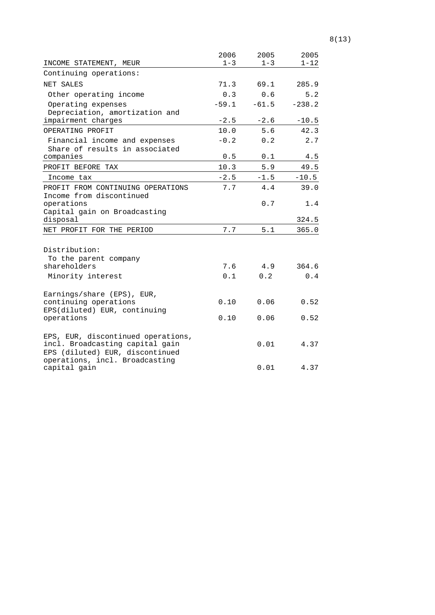|                                                | 2006    | 2005    | 2005     |
|------------------------------------------------|---------|---------|----------|
| INCOME STATEMENT, MEUR                         | $1 - 3$ | $1 - 3$ | $1 - 12$ |
| Continuing operations:                         |         |         |          |
| NET SALES                                      | 71.3    | 69.1    | 285.9    |
| Other operating income                         | 0.3     | 0.6     | 5.2      |
| Operating expenses                             | $-59.1$ | $-61.5$ | $-238.2$ |
| Depreciation, amortization and                 |         |         |          |
| impairment charges                             | $-2.5$  | $-2.6$  | $-10.5$  |
| OPERATING PROFIT                               | 10.0    | 5.6     | 42.3     |
| Financial income and expenses                  | $-0.2$  | 0.2     | 2.7      |
| Share of results in associated                 |         |         |          |
| companies                                      | $0.5$   | 0.1     | 4.5      |
| PROFIT BEFORE TAX                              | 10.3    | 5.9     | 49.5     |
| Income tax                                     | $-2.5$  | $-1.5$  | $-10.5$  |
| PROFIT FROM CONTINUING OPERATIONS              | 7.7     | 4.4     | 39.0     |
| Income from discontinued                       |         |         |          |
| operations                                     |         | 0.7     | 1.4      |
| Capital gain on Broadcasting<br>disposal       |         |         |          |
|                                                |         |         | 324.5    |
| NET PROFIT FOR THE PERIOD                      | 7.7     | 5.1     | 365.0    |
|                                                |         |         |          |
| Distribution:                                  |         |         |          |
| To the parent company<br>shareholders          | 7.6     | 4.9     | 364.6    |
| Minority interest                              | 0.1     | 0.2     | 0.4      |
|                                                |         |         |          |
| Earnings/share (EPS), EUR,                     |         |         |          |
| continuing operations                          | 0.10    | 0.06    | 0.52     |
| EPS(diluted) EUR, continuing                   |         |         |          |
| operations                                     | 0.10    | 0.06    | 0.52     |
|                                                |         |         |          |
| EPS, EUR, discontinued operations,             |         |         |          |
| incl. Broadcasting capital gain                |         | 0.01    | 4.37     |
| EPS (diluted) EUR, discontinued                |         |         |          |
| operations, incl. Broadcasting<br>capital gain |         | 0.01    | 4.37     |
|                                                |         |         |          |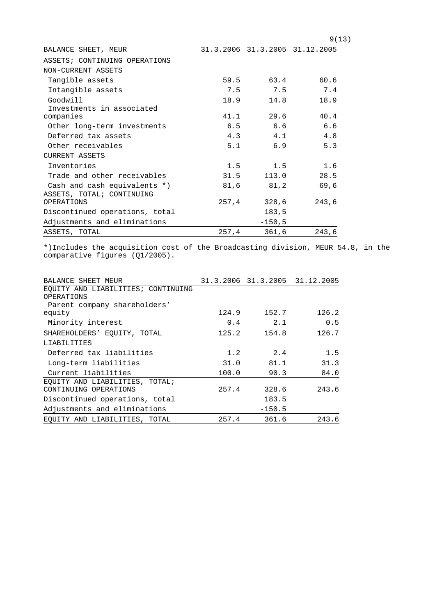|                                |       |             | 9(13)                          |
|--------------------------------|-------|-------------|--------------------------------|
| BALANCE SHEET, MEUR            |       |             | 31.3.2006 31.3.2005 31.12.2005 |
| ASSETS; CONTINUING OPERATIONS  |       |             |                                |
| NON-CURRENT ASSETS             |       |             |                                |
| Tangible assets                | 59.5  | 63.4        | 60.6                           |
| Intangible assets              | 7.5   | 7.5         | 7.4                            |
| Goodwill                       | 18.9  | 14.8        | 18.9                           |
| Investments in associated      |       |             |                                |
| companies                      | 41.1  | 29.6        | 40.4                           |
| Other long-term investments    | 6.5   | 6.6         | 6.6                            |
| Deferred tax assets            | 4.3   | 4.1         | 4.8                            |
| Other receivables              | 5.1   | 6.9         | 5.3                            |
| <b>CURRENT ASSETS</b>          |       |             |                                |
| Inventories                    | 1.5   | 1.5         | 1.6                            |
| Trade and other receivables    | 31.5  | 113.0       | 28.5                           |
| Cash and cash equivalents *)   | 81,6  | 81,2        | 69,6                           |
| ASSETS, TOTAL; CONTINUING      |       |             |                                |
| OPERATIONS                     |       | 257,4 328,6 | 243,6                          |
| Discontinued operations, total |       | 183,5       |                                |
| Adjustments and eliminations   |       | $-150, 5$   |                                |
| ASSETS, TOTAL                  | 257,4 | 361,6       | 243,6                          |

\*)Includes the acquisition cost of the Broadcasting division, MEUR 54.8, in the comparative figures (Q1/2005).

| BALANCE SHEET MEUR                 |       |          | 31.3.2006 31.3.2005 31.12.2005 |
|------------------------------------|-------|----------|--------------------------------|
| EQUITY AND LIABILITIES; CONTINUING |       |          |                                |
| OPERATIONS                         |       |          |                                |
| Parent company shareholders'       |       |          |                                |
| equity                             | 124.9 | 152.7    | 126.2                          |
| Minority interest                  | 0.4   | 2.1      | 0.5                            |
| SHAREHOLDERS' EOUITY, TOTAL        | 125.2 | 154.8    | 126.7                          |
| LIABILITIES                        |       |          |                                |
| Deferred tax liabilities           | 1.2   | 2.4      | 1.5                            |
| Long-term liabilities              | 31.0  | 81.1     | 31.3                           |
| Current liabilities                | 100.0 | 90.3     | 84.0                           |
| EQUITY AND LIABILITIES, TOTAL;     |       |          |                                |
| CONTINUING OPERATIONS              | 257.4 | 328.6    | 243.6                          |
| Discontinued operations, total     |       | 183.5    |                                |
| Adjustments and eliminations       |       | $-150.5$ |                                |
| EOUITY AND LIABILITIES, TOTAL      | 257.4 | 361.6    | 243.6                          |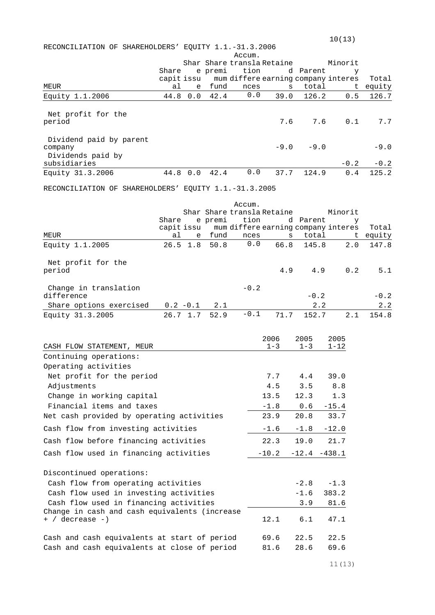|                                                       |       |                  |         |              |                            |            | 10(13)                                         |          |
|-------------------------------------------------------|-------|------------------|---------|--------------|----------------------------|------------|------------------------------------------------|----------|
| RECONCILIATION OF SHAREHOLDERS' EQUITY 1.1.-31.3.2006 |       |                  |         |              |                            |            |                                                |          |
|                                                       |       |                  |         | Accum.       |                            |            |                                                |          |
|                                                       |       |                  |         |              | Shar Share transla Retaine |            | Minorit                                        |          |
|                                                       | Share |                  | e premi | tion         |                            | d Parent   | У                                              |          |
|                                                       |       |                  |         |              |                            |            | capit issu mum differe earning company interes | Total    |
| MEUR                                                  | al    | e –              | fund    | nces         |                            | total<br>S |                                                | t equity |
| Equity 1.1.2006                                       |       | 44.8 0.0         | 42.4    | 0.0          | 39.0                       | 126.2      | 0.5                                            | 126.7    |
|                                                       |       |                  |         |              |                            |            |                                                |          |
| Net profit for the                                    |       |                  |         |              |                            |            |                                                |          |
| period                                                |       |                  |         |              | 7.6                        | 7.6        | 0.1                                            | 7.7      |
|                                                       |       |                  |         |              |                            |            |                                                |          |
| Dividend paid by parent                               |       |                  |         |              |                            |            |                                                |          |
| company                                               |       |                  |         |              | $-9.0$                     | $-9.0$     |                                                | $-9.0$   |
| Dividends paid by<br>subsidiaries                     |       |                  |         |              |                            |            | $-0.2$                                         | $-0.2$   |
| Equity 31.3.2006                                      |       | 44.8 0.0         | 42.4    | 0.0          | 37.7                       | 124.9      | 0.4                                            | 125.2    |
|                                                       |       |                  |         |              |                            |            |                                                |          |
| RECONCILIATION OF SHAREHOLDERS' EQUITY 1.1.-31.3.2005 |       |                  |         |              |                            |            |                                                |          |
|                                                       |       |                  |         |              |                            |            |                                                |          |
|                                                       |       |                  |         | Accum.       |                            |            |                                                |          |
|                                                       |       |                  |         |              | Shar Share transla Retaine |            | Minorit                                        |          |
|                                                       | Share |                  |         | e premi tion |                            | d Parent   | У                                              |          |
|                                                       |       |                  |         |              |                            |            | capit issu mum differe earning company interes | Total    |
| MEUR                                                  | al    |                  | e fund  | nces<br>0.0  |                            | total<br>S | ヒ                                              | equity   |
| Equity 1.1.2005                                       |       | $26.5$ 1.8       | 50.8    |              | 66.8                       | 145.8      | 2.0                                            | 147.8    |
|                                                       |       |                  |         |              |                            |            |                                                |          |
| Net profit for the<br>period                          |       |                  |         |              | 4.9                        | 4.9        | 0.2                                            | 5.1      |
|                                                       |       |                  |         |              |                            |            |                                                |          |
| Change in translation                                 |       |                  |         | $-0.2$       |                            |            |                                                |          |
| difference                                            |       |                  |         |              |                            | $-0.2$     |                                                | $-0.2$   |
| Share options exercised                               |       | $0.2 - 0.1$      | 2.1     |              |                            | 2.2        |                                                | 2.2      |
| Equity 31.3.2005                                      |       | $26.7 \quad 1.7$ | 52.9    | $-0.1$       | 71.7                       | 152.7      | 2.1                                            | 154.8    |
|                                                       |       |                  |         |              |                            |            |                                                |          |
|                                                       |       |                  |         |              |                            |            |                                                |          |
|                                                       |       |                  |         |              | 2006                       | 2005       | 2005                                           |          |
| CASH FLOW STATEMENT, MEUR                             |       |                  |         |              | $1 - 3$                    | $1 - 3$    | 1-12                                           |          |
| Continuing operations:                                |       |                  |         |              |                            |            |                                                |          |
| Operating activities                                  |       |                  |         |              |                            |            |                                                |          |
| Net profit for the period                             |       |                  |         |              | 7.7                        | 4.4        | 39.0                                           |          |
| Adjustments                                           |       |                  |         |              | 4.5                        | 3.5        | 8.8                                            |          |
|                                                       |       |                  |         |              |                            |            |                                                |          |
| Change in working capital                             |       |                  |         |              | 13.5                       | 12.3       | 1.3                                            |          |
| Financial items and taxes                             |       |                  |         |              | $-1.8$                     | 0.6        | $-15.4$                                        |          |
| Net cash provided by operating activities             |       |                  |         |              | 23.9                       | 20.8       | 33.7                                           |          |
| Cash flow from investing activities                   |       |                  |         |              | $-1.6$                     | $-1.8$     | $-12.0$                                        |          |
| Cash flow before financing activities                 |       |                  |         |              | 22.3                       | 19.0       | 21.7                                           |          |
| Cash flow used in financing activities                |       |                  |         |              | $-10.2$                    | $-12.4$    | $-438.1$                                       |          |
|                                                       |       |                  |         |              |                            |            |                                                |          |

Discontinued operations:

Cash flow from operating activities -2.8 -1.3 Cash flow used in investing activities -1.6 383.2 Cash flow used in financing activities 3.9 81.6 Change in cash and cash equivalents (increase + / decrease -) 12.1 6.1 47.1 Cash and cash equivalents at start of period 69.6 22.5 22.5 Cash and cash equivalents at close of period 81.6 28.6 69.6

 $11(13)$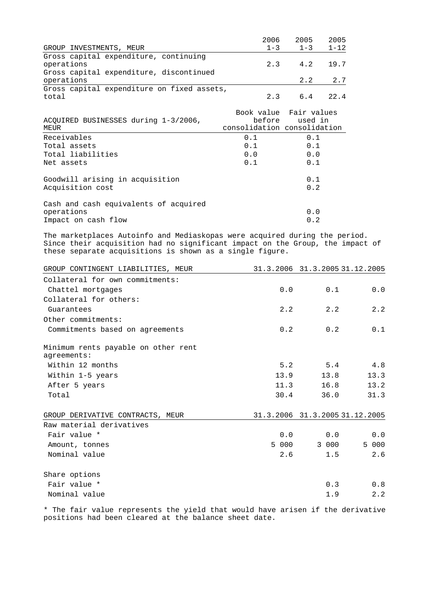|                                            | 2006                        | 2005    | 2005     |
|--------------------------------------------|-----------------------------|---------|----------|
| GROUP INVESTMENTS, MEUR                    | $1 - 3$                     | $1 - 3$ | $1 - 12$ |
| Gross capital expenditure, continuing      |                             |         |          |
| operations                                 | 2.3                         | 4.2     | 19.7     |
| Gross capital expenditure, discontinued    |                             |         |          |
| operations                                 |                             | 2.2     | 2.7      |
| Gross capital expenditure on fixed assets, |                             |         |          |
| total                                      | 2.3                         | 6.4     | 22.4     |
|                                            | Book value Fair values      |         |          |
| ACQUIRED BUSINESSES during 1-3/2006,       | before                      | used in |          |
| MEUR                                       | consolidation consolidation |         |          |
| Receivables                                | 0.1                         | 0.1     |          |
| Total assets                               | 0.1                         | 0.1     |          |
| Total liabilities                          | 0.0                         | 0.0     |          |
| Net assets                                 | 0.1                         | 0.1     |          |
| Goodwill arising in acquisition            |                             | 0.1     |          |
| Acquisition cost                           |                             | 0.2     |          |
| Cash and cash equivalents of acquired      |                             |         |          |
| operations                                 |                             | 0.0     |          |
| Impact on cash flow                        |                             | 0.2     |          |

The marketplaces Autoinfo and Mediaskopas were acquired during the period. Since their acquisition had no significant impact on the Group, the impact of these separate acquisitions is shown as a single figure.

| GROUP CONTINGENT LIABILITIES, MEUR                 |       |       | 31.3.2006 31.3.2005 31.12.2005 |
|----------------------------------------------------|-------|-------|--------------------------------|
| Collateral for own commitments:                    |       |       |                                |
| Chattel mortgages                                  | 0.0   | 0.1   | 0.0                            |
| Collateral for others:                             |       |       |                                |
| Guarantees                                         | 2.2   | 2.2   | 2.2                            |
| Other commitments:                                 |       |       |                                |
| Commitments based on agreements                    | 0.2   | 0.2   | 0.1                            |
| Minimum rents payable on other rent<br>agreements: |       |       |                                |
| Within 12 months                                   | 5.2   | 5.4   | 4.8                            |
| Within 1-5 years                                   | 13.9  | 13.8  | 13.3                           |
| After 5 years                                      | 11.3  | 16.8  | 13.2                           |
| Total                                              | 30.4  | 36.0  | 31.3                           |
| GROUP DERIVATIVE CONTRACTS, MEUR                   |       |       | 31.3.2006 31.3.2005 31.12.2005 |
| Raw material derivatives                           |       |       |                                |
| Fair value *                                       | 0.0   | 0.0   | 0.0                            |
| Amount, tonnes                                     | 5 000 | 3 000 | 5 000                          |
| Nominal value                                      | 2.6   | 1.5   | 2.6                            |
| Share options                                      |       |       |                                |
| Fair value *                                       |       | 0.3   | 0.8                            |
| Nominal value                                      |       | 1.9   | 2.2                            |

\* The fair value represents the yield that would have arisen if the derivative positions had been cleared at the balance sheet date.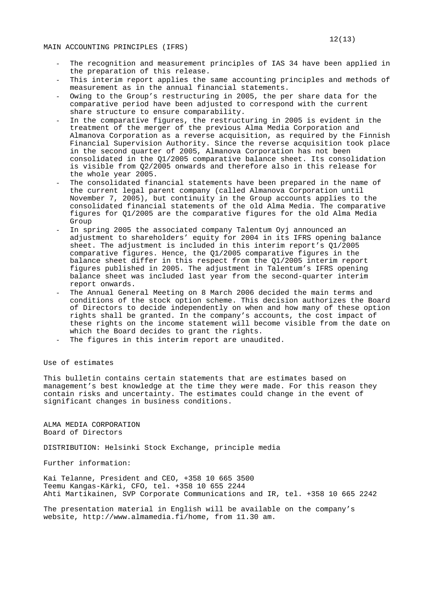- The recognition and measurement principles of IAS 34 have been applied in the preparation of this release.
- This interim report applies the same accounting principles and methods of measurement as in the annual financial statements.
- Owing to the Group's restructuring in 2005, the per share data for the comparative period have been adjusted to correspond with the current share structure to ensure comparability.
- In the comparative figures, the restructuring in 2005 is evident in the treatment of the merger of the previous Alma Media Corporation and Almanova Corporation as a reverse acquisition, as required by the Finnish Financial Supervision Authority. Since the reverse acquisition took place in the second quarter of 2005, Almanova Corporation has not been consolidated in the Q1/2005 comparative balance sheet. Its consolidation is visible from Q2/2005 onwards and therefore also in this release for the whole year 2005.
- The consolidated financial statements have been prepared in the name of the current legal parent company (called Almanova Corporation until November 7, 2005), but continuity in the Group accounts applies to the consolidated financial statements of the old Alma Media. The comparative figures for Q1/2005 are the comparative figures for the old Alma Media Group
- In spring 2005 the associated company Talentum Oyj announced an adjustment to shareholders' equity for 2004 in its IFRS opening balance sheet. The adjustment is included in this interim report's 01/2005 comparative figures. Hence, the Q1/2005 comparative figures in the balance sheet differ in this respect from the Q1/2005 interim report figures published in 2005. The adjustment in Talentum's IFRS opening balance sheet was included last year from the second-quarter interim report onwards.
- The Annual General Meeting on 8 March 2006 decided the main terms and conditions of the stock option scheme. This decision authorizes the Board of Directors to decide independently on when and how many of these option rights shall be granted. In the company's accounts, the cost impact of these rights on the income statement will become visible from the date on which the Board decides to grant the rights.
- The figures in this interim report are unaudited.

Use of estimates

This bulletin contains certain statements that are estimates based on management's best knowledge at the time they were made. For this reason they contain risks and uncertainty. The estimates could change in the event of significant changes in business conditions.

ALMA MEDIA CORPORATION Board of Directors

DISTRIBUTION: Helsinki Stock Exchange, principle media

Further information:

Kai Telanne, President and CEO, +358 10 665 3500 Teemu Kangas-Kärki, CFO, tel. +358 10 655 2244 Ahti Martikainen, SVP Corporate Communications and IR, tel. +358 10 665 2242

The presentation material in English will be available on the company's website, http://www.almamedia.fi/home, from 11.30 am.